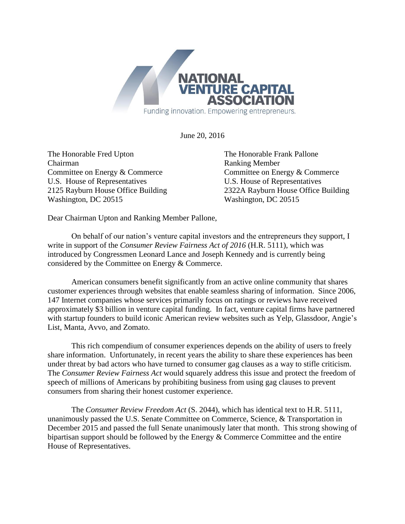

June 20, 2016

The Honorable Fred Upton The Honorable Frank Pallone Chairman Ranking Member Committee on Energy & Commerce Committee on Energy & Commerce U.S. House of Representatives U.S. House of Representatives Washington, DC 20515 Washington, DC 20515

2125 Rayburn House Office Building 2322A Rayburn House Office Building

Dear Chairman Upton and Ranking Member Pallone,

On behalf of our nation's venture capital investors and the entrepreneurs they support, I write in support of the *Consumer Review Fairness Act of 2016* (H.R. 5111), which was introduced by Congressmen Leonard Lance and Joseph Kennedy and is currently being considered by the Committee on Energy & Commerce.

American consumers benefit significantly from an active online community that shares customer experiences through websites that enable seamless sharing of information. Since 2006, 147 Internet companies whose services primarily focus on ratings or reviews have received approximately \$3 billion in venture capital funding. In fact, venture capital firms have partnered with startup founders to build iconic American review websites such as Yelp, Glassdoor, Angie's List, Manta, Avvo, and Zomato.

This rich compendium of consumer experiences depends on the ability of users to freely share information. Unfortunately, in recent years the ability to share these experiences has been under threat by bad actors who have turned to consumer gag clauses as a way to stifle criticism. The *Consumer Review Fairness Act* would squarely address this issue and protect the freedom of speech of millions of Americans by prohibiting business from using gag clauses to prevent consumers from sharing their honest customer experience.

The *Consumer Review Freedom Act* (S. 2044), which has identical text to H.R. 5111, unanimously passed the U.S. Senate Committee on Commerce, Science, & Transportation in December 2015 and passed the full Senate unanimously later that month. This strong showing of bipartisan support should be followed by the Energy & Commerce Committee and the entire House of Representatives.